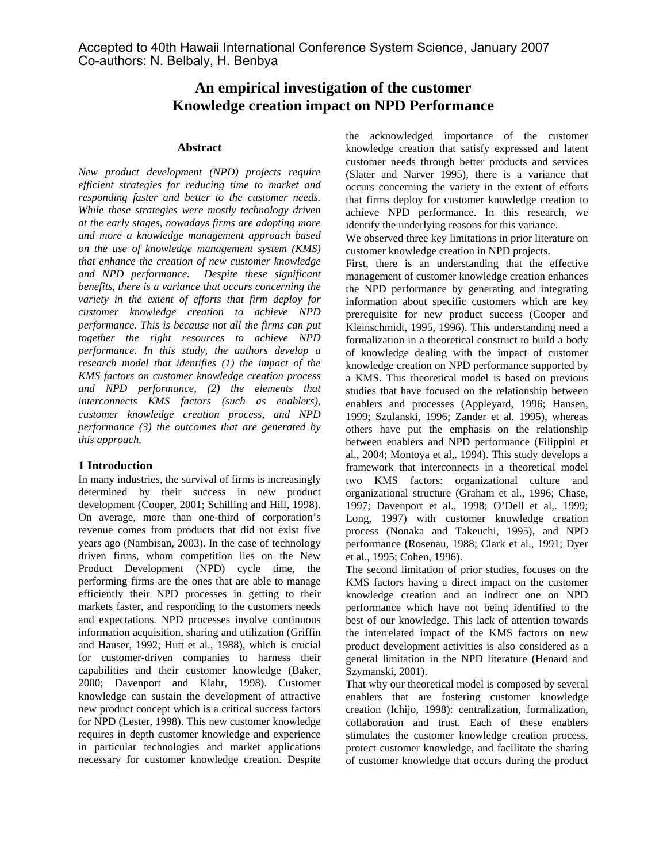# **An empirical investigation of the customer Knowledge creation impact on NPD Performance**

#### **Abstract**

*New product development (NPD) projects require efficient strategies for reducing time to market and responding faster and better to the customer needs. While these strategies were mostly technology driven at the early stages, nowadays firms are adopting more and more a knowledge management approach based on the use of knowledge management system (KMS) that enhance the creation of new customer knowledge and NPD performance. Despite these significant benefits, there is a variance that occurs concerning the variety in the extent of efforts that firm deploy for customer knowledge creation to achieve NPD performance. This is because not all the firms can put together the right resources to achieve NPD performance. In this study, the authors develop a research model that identifies (1) the impact of the KMS factors on customer knowledge creation process and NPD performance, (2) the elements that interconnects KMS factors (such as enablers), customer knowledge creation process, and NPD performance (3) the outcomes that are generated by this approach.* 

### **1 Introduction**

In many industries, the survival of firms is increasingly determined by their success in new product development (Cooper, 2001; Schilling and Hill, 1998). On average, more than one-third of corporation's revenue comes from products that did not exist five years ago (Nambisan, 2003). In the case of technology driven firms, whom competition lies on the New Product Development (NPD) cycle time, the performing firms are the ones that are able to manage efficiently their NPD processes in getting to their markets faster, and responding to the customers needs and expectations. NPD processes involve continuous information acquisition, sharing and utilization (Griffin and Hauser, 1992; Hutt et al., 1988), which is crucial for customer-driven companies to harness their capabilities and their customer knowledge (Baker, 2000; Davenport and Klahr, 1998). Customer knowledge can sustain the development of attractive new product concept which is a critical success factors for NPD (Lester, 1998). This new customer knowledge requires in depth customer knowledge and experience in particular technologies and market applications necessary for customer knowledge creation. Despite

the acknowledged importance of the customer knowledge creation that satisfy expressed and latent customer needs through better products and services (Slater and Narver 1995), there is a variance that occurs concerning the variety in the extent of efforts that firms deploy for customer knowledge creation to achieve NPD performance. In this research, we identify the underlying reasons for this variance.

We observed three key limitations in prior literature on customer knowledge creation in NPD projects.

First, there is an understanding that the effective management of customer knowledge creation enhances the NPD performance by generating and integrating information about specific customers which are key prerequisite for new product success (Cooper and Kleinschmidt, 1995, 1996). This understanding need a formalization in a theoretical construct to build a body of knowledge dealing with the impact of customer knowledge creation on NPD performance supported by a KMS. This theoretical model is based on previous studies that have focused on the relationship between enablers and processes (Appleyard, 1996; Hansen, 1999; Szulanski, 1996; Zander et al. 1995), whereas others have put the emphasis on the relationship between enablers and NPD performance (Filippini et al., 2004; Montoya et al,. 1994). This study develops a framework that interconnects in a theoretical model two KMS factors: organizational culture and organizational structure (Graham et al., 1996; Chase, 1997; Davenport et al., 1998; O'Dell et al,. 1999; Long, 1997) with customer knowledge creation process (Nonaka and Takeuchi, 1995), and NPD performance (Rosenau, 1988; Clark et al., 1991; Dyer et al., 1995; Cohen, 1996).

The second limitation of prior studies, focuses on the KMS factors having a direct impact on the customer knowledge creation and an indirect one on NPD performance which have not being identified to the best of our knowledge. This lack of attention towards the interrelated impact of the KMS factors on new product development activities is also considered as a general limitation in the NPD literature (Henard and Szymanski, 2001).

That why our theoretical model is composed by several enablers that are fostering customer knowledge creation (Ichijo, 1998): centralization, formalization, collaboration and trust. Each of these enablers stimulates the customer knowledge creation process, protect customer knowledge, and facilitate the sharing of customer knowledge that occurs during the product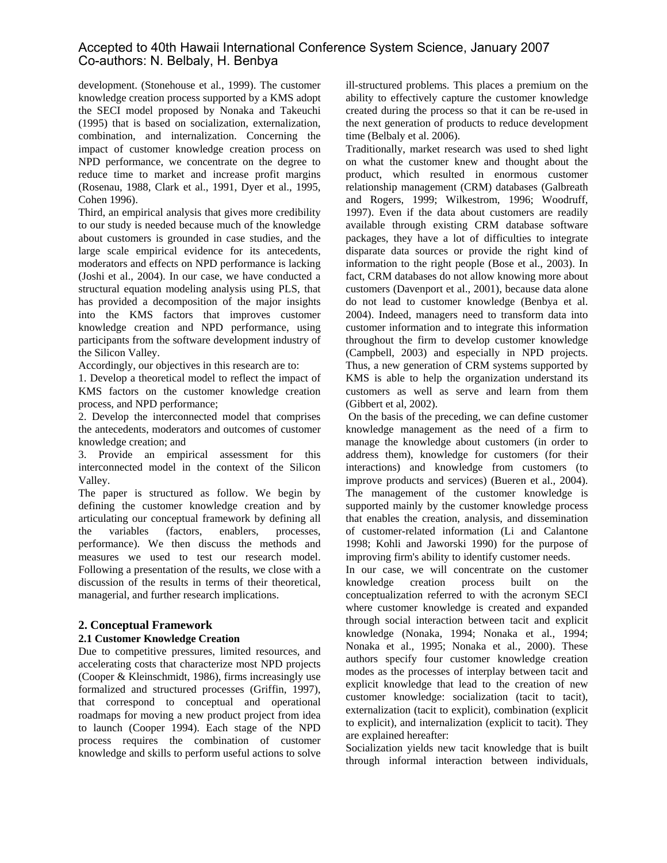development. (Stonehouse et al., 1999). The customer knowledge creation process supported by a KMS adopt the SECI model proposed by Nonaka and Takeuchi (1995) that is based on socialization, externalization, combination, and internalization. Concerning the impact of customer knowledge creation process on NPD performance, we concentrate on the degree to reduce time to market and increase profit margins (Rosenau, 1988, Clark et al., 1991, Dyer et al., 1995, Cohen 1996).

Third, an empirical analysis that gives more credibility to our study is needed because much of the knowledge about customers is grounded in case studies, and the large scale empirical evidence for its antecedents, moderators and effects on NPD performance is lacking (Joshi et al., 2004). In our case, we have conducted a structural equation modeling analysis using PLS, that has provided a decomposition of the major insights into the KMS factors that improves customer knowledge creation and NPD performance, using participants from the software development industry of the Silicon Valley.

Accordingly, our objectives in this research are to:

1. Develop a theoretical model to reflect the impact of KMS factors on the customer knowledge creation process, and NPD performance;

2. Develop the interconnected model that comprises the antecedents, moderators and outcomes of customer knowledge creation; and

3. Provide an empirical assessment for this interconnected model in the context of the Silicon Valley.

The paper is structured as follow. We begin by defining the customer knowledge creation and by articulating our conceptual framework by defining all the variables (factors, enablers, processes, performance). We then discuss the methods and measures we used to test our research model. Following a presentation of the results, we close with a discussion of the results in terms of their theoretical, managerial, and further research implications.

### **2. Conceptual Framework**

### **2.1 Customer Knowledge Creation**

Due to competitive pressures, limited resources, and accelerating costs that characterize most NPD projects (Cooper & Kleinschmidt, 1986), firms increasingly use formalized and structured processes (Griffin, 1997), that correspond to conceptual and operational roadmaps for moving a new product project from idea to launch (Cooper 1994). Each stage of the NPD process requires the combination of customer knowledge and skills to perform useful actions to solve ill-structured problems. This places a premium on the ability to effectively capture the customer knowledge created during the process so that it can be re-used in the next generation of products to reduce development time (Belbaly et al. 2006).

Traditionally, market research was used to shed light on what the customer knew and thought about the product, which resulted in enormous customer relationship management (CRM) databases (Galbreath and Rogers, 1999; Wilkestrom, 1996; Woodruff, 1997). Even if the data about customers are readily available through existing CRM database software packages, they have a lot of difficulties to integrate disparate data sources or provide the right kind of information to the right people (Bose et al., 2003). In fact, CRM databases do not allow knowing more about customers (Davenport et al., 2001), because data alone do not lead to customer knowledge (Benbya et al. 2004). Indeed, managers need to transform data into customer information and to integrate this information throughout the firm to develop customer knowledge (Campbell, 2003) and especially in NPD projects. Thus, a new generation of CRM systems supported by KMS is able to help the organization understand its customers as well as serve and learn from them (Gibbert et al, 2002).

 On the basis of the preceding, we can define customer knowledge management as the need of a firm to manage the knowledge about customers (in order to address them), knowledge for customers (for their interactions) and knowledge from customers (to improve products and services) (Bueren et al., 2004). The management of the customer knowledge is supported mainly by the customer knowledge process that enables the creation, analysis, and dissemination of customer-related information (Li and Calantone 1998; Kohli and Jaworski 1990) for the purpose of improving firm's ability to identify customer needs.

In our case, we will concentrate on the customer knowledge creation process built on the conceptualization referred to with the acronym SECI where customer knowledge is created and expanded through social interaction between tacit and explicit knowledge (Nonaka, 1994; Nonaka et al., 1994; Nonaka et al., 1995; Nonaka et al., 2000). These authors specify four customer knowledge creation modes as the processes of interplay between tacit and explicit knowledge that lead to the creation of new customer knowledge: socialization (tacit to tacit), externalization (tacit to explicit), combination (explicit to explicit), and internalization (explicit to tacit). They are explained hereafter:

Socialization yields new tacit knowledge that is built through informal interaction between individuals,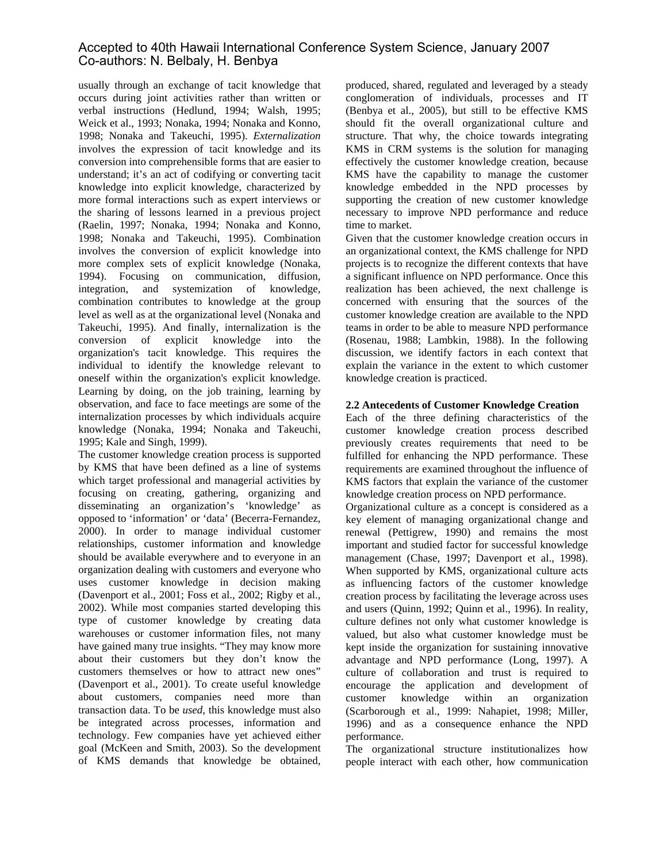usually through an exchange of tacit knowledge that occurs during joint activities rather than written or verbal instructions (Hedlund, 1994; Walsh, 1995; Weick et al., 1993; Nonaka, 1994; Nonaka and Konno, 1998; Nonaka and Takeuchi, 1995). *Externalization* involves the expression of tacit knowledge and its conversion into comprehensible forms that are easier to understand; it's an act of codifying or converting tacit knowledge into explicit knowledge, characterized by more formal interactions such as expert interviews or the sharing of lessons learned in a previous project (Raelin, 1997; Nonaka, 1994; Nonaka and Konno, 1998; Nonaka and Takeuchi, 1995). Combination involves the conversion of explicit knowledge into more complex sets of explicit knowledge (Nonaka, 1994). Focusing on communication, diffusion, integration, and systemization of knowledge, combination contributes to knowledge at the group level as well as at the organizational level (Nonaka and Takeuchi, 1995). And finally, internalization is the conversion of explicit knowledge into the organization's tacit knowledge. This requires the individual to identify the knowledge relevant to oneself within the organization's explicit knowledge. Learning by doing, on the job training, learning by observation, and face to face meetings are some of the internalization processes by which individuals acquire knowledge (Nonaka, 1994; Nonaka and Takeuchi, 1995; Kale and Singh, 1999).

The customer knowledge creation process is supported by KMS that have been defined as a line of systems which target professional and managerial activities by focusing on creating, gathering, organizing and disseminating an organization's 'knowledge' as opposed to 'information' or 'data' (Becerra-Fernandez, 2000). In order to manage individual customer relationships, customer information and knowledge should be available everywhere and to everyone in an organization dealing with customers and everyone who uses customer knowledge in decision making (Davenport et al., 2001; Foss et al., 2002; Rigby et al., 2002). While most companies started developing this type of customer knowledge by creating data warehouses or customer information files, not many have gained many true insights. "They may know more about their customers but they don't know the customers themselves or how to attract new ones" (Davenport et al., 2001). To create useful knowledge about customers, companies need more than transaction data. To be *used*, this knowledge must also be integrated across processes, information and technology. Few companies have yet achieved either goal (McKeen and Smith, 2003). So the development of KMS demands that knowledge be obtained,

produced, shared, regulated and leveraged by a steady conglomeration of individuals, processes and IT (Benbya et al., 2005), but still to be effective KMS should fit the overall organizational culture and structure. That why, the choice towards integrating KMS in CRM systems is the solution for managing effectively the customer knowledge creation, because KMS have the capability to manage the customer knowledge embedded in the NPD processes by supporting the creation of new customer knowledge necessary to improve NPD performance and reduce time to market.

Given that the customer knowledge creation occurs in an organizational context, the KMS challenge for NPD projects is to recognize the different contexts that have a significant influence on NPD performance. Once this realization has been achieved, the next challenge is concerned with ensuring that the sources of the customer knowledge creation are available to the NPD teams in order to be able to measure NPD performance (Rosenau, 1988; Lambkin, 1988). In the following discussion, we identify factors in each context that explain the variance in the extent to which customer knowledge creation is practiced.

### **2.2 Antecedents of Customer Knowledge Creation**

Each of the three defining characteristics of the customer knowledge creation process described previously creates requirements that need to be fulfilled for enhancing the NPD performance. These requirements are examined throughout the influence of KMS factors that explain the variance of the customer knowledge creation process on NPD performance.

Organizational culture as a concept is considered as a key element of managing organizational change and renewal (Pettigrew, 1990) and remains the most important and studied factor for successful knowledge management (Chase, 1997; Davenport et al., 1998). When supported by KMS, organizational culture acts as influencing factors of the customer knowledge creation process by facilitating the leverage across uses and users (Quinn, 1992; Quinn et al., 1996). In reality, culture defines not only what customer knowledge is valued, but also what customer knowledge must be kept inside the organization for sustaining innovative advantage and NPD performance (Long, 1997). A culture of collaboration and trust is required to encourage the application and development of customer knowledge within an organization (Scarborough et al., 1999: Nahapiet, 1998; Miller, 1996) and as a consequence enhance the NPD performance.

The organizational structure institutionalizes how people interact with each other, how communication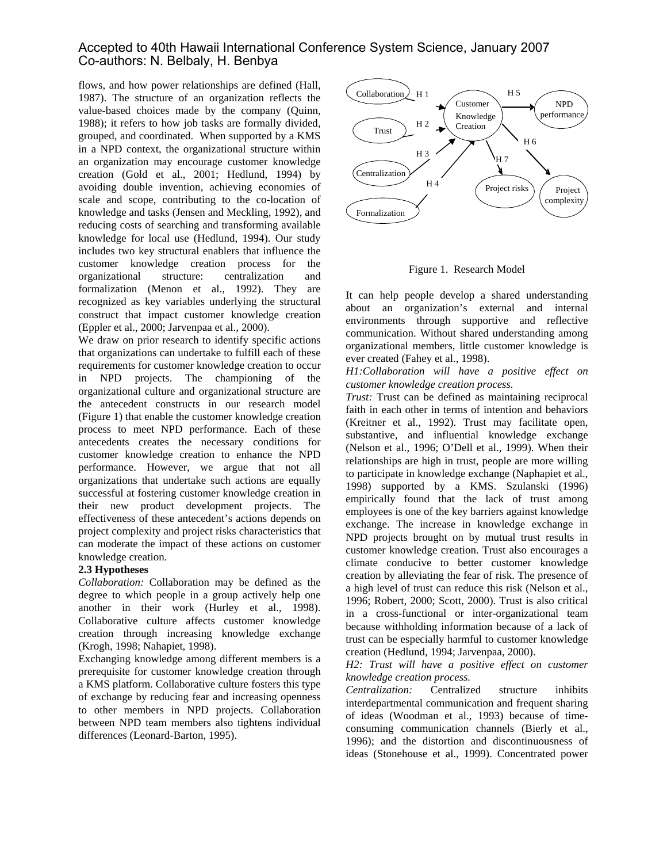flows, and how power relationships are defined (Hall, 1987). The structure of an organization reflects the value-based choices made by the company (Quinn, 1988); it refers to how job tasks are formally divided, grouped, and coordinated. When supported by a KMS in a NPD context, the organizational structure within an organization may encourage customer knowledge creation (Gold et al., 2001; Hedlund, 1994) by avoiding double invention, achieving economies of scale and scope, contributing to the co-location of knowledge and tasks (Jensen and Meckling, 1992), and reducing costs of searching and transforming available knowledge for local use (Hedlund, 1994). Our study includes two key structural enablers that influence the customer knowledge creation process for the organizational structure: centralization and formalization (Menon et al., 1992). They are recognized as key variables underlying the structural construct that impact customer knowledge creation (Eppler et al., 2000; Jarvenpaa et al., 2000).

We draw on prior research to identify specific actions that organizations can undertake to fulfill each of these requirements for customer knowledge creation to occur in NPD projects. The championing of the organizational culture and organizational structure are the antecedent constructs in our research model (Figure 1) that enable the customer knowledge creation process to meet NPD performance. Each of these antecedents creates the necessary conditions for customer knowledge creation to enhance the NPD performance. However, we argue that not all organizations that undertake such actions are equally successful at fostering customer knowledge creation in their new product development projects. The effectiveness of these antecedent's actions depends on project complexity and project risks characteristics that can moderate the impact of these actions on customer knowledge creation.

#### **2.3 Hypotheses**

*Collaboration:* Collaboration may be defined as the degree to which people in a group actively help one another in their work (Hurley et al., 1998). Collaborative culture affects customer knowledge creation through increasing knowledge exchange (Krogh, 1998; Nahapiet, 1998).

Exchanging knowledge among different members is a prerequisite for customer knowledge creation through a KMS platform. Collaborative culture fosters this type of exchange by reducing fear and increasing openness to other members in NPD projects. Collaboration between NPD team members also tightens individual differences (Leonard-Barton, 1995).



Figure 1. Research Model

It can help people develop a shared understanding about an organization's external and internal environments through supportive and reflective communication. Without shared understanding among organizational members, little customer knowledge is ever created (Fahey et al., 1998).

*H1:Collaboration will have a positive effect on customer knowledge creation process.* 

*Trust:* Trust can be defined as maintaining reciprocal faith in each other in terms of intention and behaviors (Kreitner et al., 1992). Trust may facilitate open, substantive, and influential knowledge exchange (Nelson et al., 1996; O'Dell et al., 1999). When their relationships are high in trust, people are more willing to participate in knowledge exchange (Naphapiet et al., 1998) supported by a KMS. Szulanski (1996) empirically found that the lack of trust among employees is one of the key barriers against knowledge exchange. The increase in knowledge exchange in NPD projects brought on by mutual trust results in customer knowledge creation. Trust also encourages a climate conducive to better customer knowledge creation by alleviating the fear of risk. The presence of a high level of trust can reduce this risk (Nelson et al., 1996; Robert, 2000; Scott, 2000). Trust is also critical in a cross-functional or inter-organizational team because withholding information because of a lack of trust can be especially harmful to customer knowledge creation (Hedlund, 1994; Jarvenpaa, 2000).

#### *H2: Trust will have a positive effect on customer knowledge creation process.*

*Centralization:* Centralized structure inhibits interdepartmental communication and frequent sharing of ideas (Woodman et al., 1993) because of timeconsuming communication channels (Bierly et al., 1996); and the distortion and discontinuousness of ideas (Stonehouse et al., 1999). Concentrated power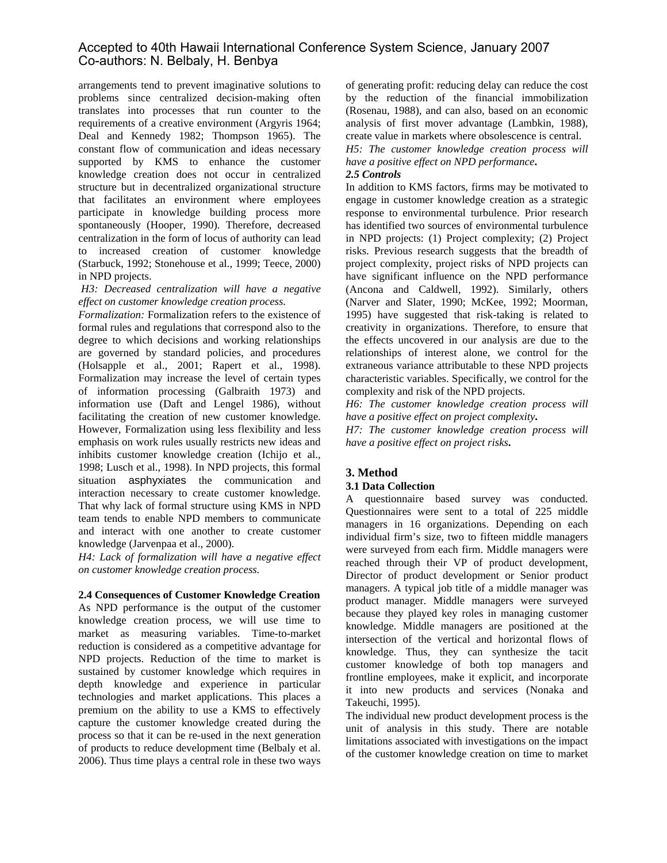arrangements tend to prevent imaginative solutions to problems since centralized decision-making often translates into processes that run counter to the requirements of a creative environment (Argyris 1964; Deal and Kennedy 1982; Thompson 1965). The constant flow of communication and ideas necessary supported by KMS to enhance the customer knowledge creation does not occur in centralized structure but in decentralized organizational structure that facilitates an environment where employees participate in knowledge building process more spontaneously (Hooper, 1990). Therefore, decreased centralization in the form of locus of authority can lead to increased creation of customer knowledge (Starbuck, 1992; Stonehouse et al., 1999; Teece, 2000) in NPD projects.

#### *H3: Decreased centralization will have a negative effect on customer knowledge creation process.*

*Formalization:* Formalization refers to the existence of formal rules and regulations that correspond also to the degree to which decisions and working relationships are governed by standard policies, and procedures (Holsapple et al., 2001; Rapert et al., 1998). Formalization may increase the level of certain types of information processing (Galbraith 1973) and information use (Daft and Lengel 1986), without facilitating the creation of new customer knowledge. However, Formalization using less flexibility and less emphasis on work rules usually restricts new ideas and inhibits customer knowledge creation (Ichijo et al., 1998; Lusch et al., 1998). In NPD projects, this formal situation asphyxiates the communication and interaction necessary to create customer knowledge. That why lack of formal structure using KMS in NPD team tends to enable NPD members to communicate and interact with one another to create customer knowledge (Jarvenpaa et al., 2000).

*H4: Lack of formalization will have a negative effect on customer knowledge creation process.* 

**2.4 Consequences of Customer Knowledge Creation**  As NPD performance is the output of the customer knowledge creation process, we will use time to market as measuring variables. Time-to-market reduction is considered as a competitive advantage for NPD projects. Reduction of the time to market is sustained by customer knowledge which requires in depth knowledge and experience in particular technologies and market applications. This places a premium on the ability to use a KMS to effectively capture the customer knowledge created during the process so that it can be re-used in the next generation of products to reduce development time (Belbaly et al. 2006). Thus time plays a central role in these two ways

of generating profit: reducing delay can reduce the cost by the reduction of the financial immobilization (Rosenau, 1988), and can also, based on an economic analysis of first mover advantage (Lambkin, 1988), create value in markets where obsolescence is central.

*H5: The customer knowledge creation process will have a positive effect on NPD performance***.** 

## *2.5 Controls*

In addition to KMS factors, firms may be motivated to engage in customer knowledge creation as a strategic response to environmental turbulence. Prior research has identified two sources of environmental turbulence in NPD projects: (1) Project complexity; (2) Project risks. Previous research suggests that the breadth of project complexity, project risks of NPD projects can have significant influence on the NPD performance (Ancona and Caldwell, 1992). Similarly, others (Narver and Slater, 1990; McKee, 1992; Moorman, 1995) have suggested that risk-taking is related to creativity in organizations. Therefore, to ensure that the effects uncovered in our analysis are due to the relationships of interest alone, we control for the extraneous variance attributable to these NPD projects characteristic variables. Specifically, we control for the complexity and risk of the NPD projects.

*H6: The customer knowledge creation process will have a positive effect on project complexity***.**

*H7: The customer knowledge creation process will have a positive effect on project risks***.** 

## **3. Method**

### **3.1 Data Collection**

A questionnaire based survey was conducted. Questionnaires were sent to a total of 225 middle managers in 16 organizations. Depending on each individual firm's size, two to fifteen middle managers were surveyed from each firm. Middle managers were reached through their VP of product development, Director of product development or Senior product managers. A typical job title of a middle manager was product manager. Middle managers were surveyed because they played key roles in managing customer knowledge. Middle managers are positioned at the intersection of the vertical and horizontal flows of knowledge. Thus, they can synthesize the tacit customer knowledge of both top managers and frontline employees, make it explicit, and incorporate it into new products and services (Nonaka and Takeuchi, 1995).

The individual new product development process is the unit of analysis in this study. There are notable limitations associated with investigations on the impact of the customer knowledge creation on time to market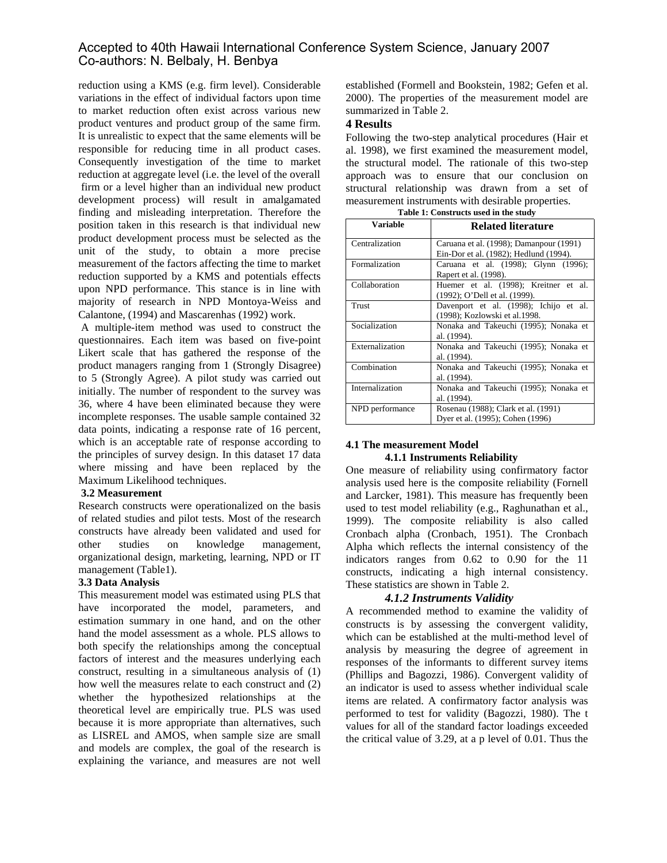reduction using a KMS (e.g. firm level). Considerable variations in the effect of individual factors upon time to market reduction often exist across various new product ventures and product group of the same firm. It is unrealistic to expect that the same elements will be responsible for reducing time in all product cases. Consequently investigation of the time to market reduction at aggregate level (i.e. the level of the overall firm or a level higher than an individual new product development process) will result in amalgamated finding and misleading interpretation. Therefore the position taken in this research is that individual new product development process must be selected as the unit of the study, to obtain a more precise measurement of the factors affecting the time to market reduction supported by a KMS and potentials effects upon NPD performance. This stance is in line with majority of research in NPD Montoya-Weiss and Calantone, (1994) and Mascarenhas (1992) work.

A multiple-item method was used to construct the questionnaires. Each item was based on five-point Likert scale that has gathered the response of the product managers ranging from 1 (Strongly Disagree) to 5 (Strongly Agree). A pilot study was carried out initially. The number of respondent to the survey was 36, where 4 have been eliminated because they were incomplete responses. The usable sample contained 32 data points, indicating a response rate of 16 percent, which is an acceptable rate of response according to the principles of survey design. In this dataset 17 data where missing and have been replaced by the Maximum Likelihood techniques.

#### **3.2 Measurement**

Research constructs were operationalized on the basis of related studies and pilot tests. Most of the research constructs have already been validated and used for other studies on knowledge management, organizational design, marketing, learning, NPD or IT management (Table1).

### **3.3 Data Analysis**

This measurement model was estimated using PLS that have incorporated the model, parameters, and estimation summary in one hand, and on the other hand the model assessment as a whole. PLS allows to both specify the relationships among the conceptual factors of interest and the measures underlying each construct, resulting in a simultaneous analysis of (1) how well the measures relate to each construct and (2) whether the hypothesized relationships at the theoretical level are empirically true. PLS was used because it is more appropriate than alternatives, such as LISREL and AMOS, when sample size are small and models are complex, the goal of the research is explaining the variance, and measures are not well

established (Formell and Bookstein, 1982; Gefen et al. 2000). The properties of the measurement model are summarized in Table 2.

### **4 Results**

Following the two-step analytical procedures (Hair et al. 1998), we first examined the measurement model, the structural model. The rationale of this two-step approach was to ensure that our conclusion on structural relationship was drawn from a set of measurement instruments with desirable properties.

|                 | rabic r. Constructs used in the study   |  |  |
|-----------------|-----------------------------------------|--|--|
| <b>Variable</b> | <b>Related literature</b>               |  |  |
| Centralization  | Caruana et al. (1998); Damanpour (1991) |  |  |
|                 | Ein-Dor et al. (1982); Hedlund (1994).  |  |  |
| Formalization   | Caruana et al. (1998); Glynn (1996);    |  |  |
|                 | Rapert et al. (1998).                   |  |  |
| Collaboration   | Huemer et al. (1998); Kreitner et al.   |  |  |
|                 | (1992); O'Dell et al. (1999).           |  |  |
| Trust           | Davenport et al. (1998); Ichijo et al.  |  |  |
|                 | (1998); Kozlowski et al.1998.           |  |  |
| Socialization   | Nonaka and Takeuchi (1995); Nonaka et   |  |  |
|                 | al. (1994).                             |  |  |
| Externalization | Nonaka and Takeuchi (1995); Nonaka et   |  |  |
|                 | al. (1994).                             |  |  |
| Combination     | Nonaka and Takeuchi (1995); Nonaka et   |  |  |
|                 | al. (1994).                             |  |  |
| Internalization | Nonaka and Takeuchi (1995); Nonaka et   |  |  |
|                 | al. (1994).                             |  |  |
| NPD performance | Rosenau (1988); Clark et al. (1991)     |  |  |
|                 | Dyer et al. (1995); Cohen (1996)        |  |  |

**Table 1: Constructs used in the study**

### **4.1 The measurement Model 4.1.1 Instruments Reliability**

One measure of reliability using confirmatory factor analysis used here is the composite reliability (Fornell and Larcker, 1981). This measure has frequently been used to test model reliability (e.g., Raghunathan et al., 1999). The composite reliability is also called Cronbach alpha (Cronbach, 1951). The Cronbach Alpha which reflects the internal consistency of the indicators ranges from 0.62 to 0.90 for the 11 constructs, indicating a high internal consistency. These statistics are shown in Table 2.

### *4.1.2 Instruments Validity*

A recommended method to examine the validity of constructs is by assessing the convergent validity, which can be established at the multi-method level of analysis by measuring the degree of agreement in responses of the informants to different survey items (Phillips and Bagozzi, 1986). Convergent validity of an indicator is used to assess whether individual scale items are related. A confirmatory factor analysis was performed to test for validity (Bagozzi, 1980). The t values for all of the standard factor loadings exceeded the critical value of 3.29, at a p level of 0.01. Thus the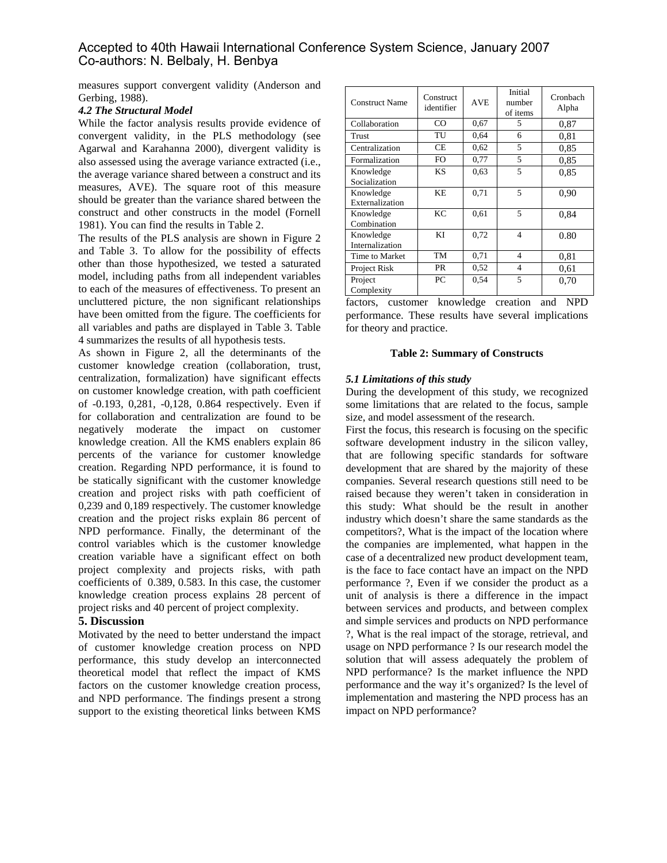measures support convergent validity (Anderson and Gerbing, 1988).

#### *4.2 The Structural Model*

While the factor analysis results provide evidence of convergent validity, in the PLS methodology (see Agarwal and Karahanna 2000), divergent validity is also assessed using the average variance extracted (i.e., the average variance shared between a construct and its measures, AVE). The square root of this measure should be greater than the variance shared between the construct and other constructs in the model (Fornell 1981). You can find the results in Table 2.

The results of the PLS analysis are shown in Figure 2 and Table 3. To allow for the possibility of effects other than those hypothesized, we tested a saturated model, including paths from all independent variables to each of the measures of effectiveness. To present an uncluttered picture, the non significant relationships have been omitted from the figure. The coefficients for all variables and paths are displayed in Table 3. Table 4 summarizes the results of all hypothesis tests.

As shown in Figure 2, all the determinants of the customer knowledge creation (collaboration, trust, centralization, formalization) have significant effects on customer knowledge creation, with path coefficient of -0.193, 0,281, -0,128, 0.864 respectively. Even if for collaboration and centralization are found to be negatively moderate the impact on customer knowledge creation. All the KMS enablers explain 86 percents of the variance for customer knowledge creation. Regarding NPD performance, it is found to be statically significant with the customer knowledge creation and project risks with path coefficient of 0,239 and 0,189 respectively. The customer knowledge creation and the project risks explain 86 percent of NPD performance. Finally, the determinant of the control variables which is the customer knowledge creation variable have a significant effect on both project complexity and projects risks, with path coefficients of 0.389, 0.583. In this case, the customer knowledge creation process explains 28 percent of project risks and 40 percent of project complexity.

### **5. Discussion**

Motivated by the need to better understand the impact of customer knowledge creation process on NPD performance, this study develop an interconnected theoretical model that reflect the impact of KMS factors on the customer knowledge creation process, and NPD performance. The findings present a strong support to the existing theoretical links between KMS

| <b>Construct Name</b>        | <b>Construct</b><br>identifier | <b>AVE</b> | Initial<br>number<br>of items | Cronbach<br>Alpha |
|------------------------------|--------------------------------|------------|-------------------------------|-------------------|
| Collaboration                | CO                             | 0.67       | 5                             | 0,87              |
| Trust                        | TU                             | 0.64       | 6                             | 0.81              |
| Centralization               | <b>CE</b>                      | 0,62       | 5                             | 0,85              |
| Formalization                | FO                             | 0,77       | 5                             | 0.85              |
| Knowledge<br>Socialization   | KS                             | 0.63       | 5                             | 0.85              |
| Knowledge<br>Externalization | <b>KE</b>                      | 0,71       | 5                             | 0,90              |
| Knowledge<br>Combination     | KС                             | 0.61       | 5                             | 0,84              |
| Knowledge<br>Internalization | ΚI                             | 0,72       | $\overline{4}$                | 0.80              |
| Time to Market               | TM                             | 0,71       | 4                             | 0.81              |
| Project Risk                 | <b>PR</b>                      | 0,52       | $\overline{4}$                | 0.61              |
| Project<br>Complexity        | PC                             | 0.54       | 5                             | 0,70              |

factors, customer knowledge creation and NPD performance. These results have several implications for theory and practice.

#### **Table 2: Summary of Constructs**

#### *5.1 Limitations of this study*

During the development of this study, we recognized some limitations that are related to the focus, sample size, and model assessment of the research.

First the focus, this research is focusing on the specific software development industry in the silicon valley, that are following specific standards for software development that are shared by the majority of these companies. Several research questions still need to be raised because they weren't taken in consideration in this study: What should be the result in another industry which doesn't share the same standards as the competitors?, What is the impact of the location where the companies are implemented, what happen in the case of a decentralized new product development team, is the face to face contact have an impact on the NPD performance ?, Even if we consider the product as a unit of analysis is there a difference in the impact between services and products, and between complex and simple services and products on NPD performance ?, What is the real impact of the storage, retrieval, and usage on NPD performance ? Is our research model the solution that will assess adequately the problem of NPD performance? Is the market influence the NPD performance and the way it's organized? Is the level of implementation and mastering the NPD process has an impact on NPD performance?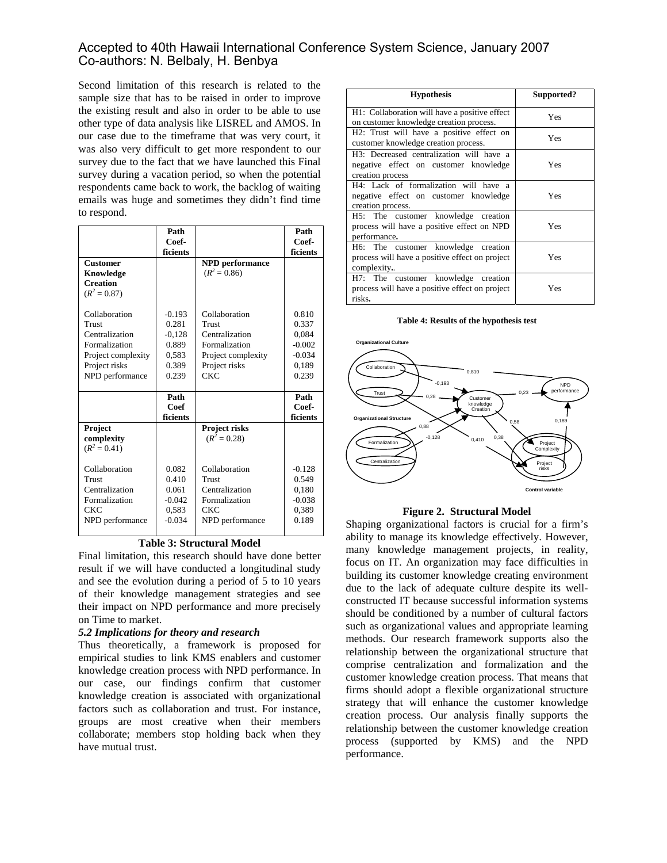Second limitation of this research is related to the sample size that has to be raised in order to improve the existing result and also in order to be able to use other type of data analysis like LISREL and AMOS. In our case due to the timeframe that was very court, it was also very difficult to get more respondent to our survey due to the fact that we have launched this Final survey during a vacation period, so when the potential respondents came back to work, the backlog of waiting emails was huge and sometimes they didn't find time to respond.

|                    | Path     |                        | Path     |
|--------------------|----------|------------------------|----------|
|                    | Coef-    |                        | Coef-    |
|                    | ficients |                        | ficients |
| <b>Customer</b>    |          | <b>NPD</b> performance |          |
| Knowledge          |          | $(R^2 = 0.86)$         |          |
| <b>Creation</b>    |          |                        |          |
| $(R^2 = 0.87)$     |          |                        |          |
|                    |          |                        |          |
| Collaboration      | $-0.193$ | Collaboration          | 0.810    |
| Trust              | 0.281    | Trust                  | 0.337    |
| Centralization     | $-0.128$ | Centralization         | 0.084    |
| Formalization      | 0.889    | Formalization          | $-0.002$ |
| Project complexity | 0.583    | Project complexity     | $-0.034$ |
| Project risks      | 0.389    | Project risks          | 0,189    |
| NPD performance    | 0.239    | CKC                    | 0.239    |
|                    |          |                        |          |
|                    | Path     |                        | Path     |
|                    | Coef     |                        | Coef-    |
|                    | ficients |                        | ficients |
| Project            |          | Project risks          |          |
| complexity         |          | $(R^2 = 0.28)$         |          |
| $(R^2 = 0.41)$     |          |                        |          |
|                    |          |                        |          |
| Collaboration      | 0.082    | Collaboration          | $-0.128$ |
| Trust              | 0.410    | Trust                  | 0.549    |
| Centralization     | 0.061    | Centralization         | 0,180    |
| Formalization      | $-0.042$ | Formalization          | $-0.038$ |
| CKC                | 0.583    | CKC                    | 0,389    |
| NPD performance    | $-0.034$ | NPD performance        | 0.189    |
|                    |          |                        |          |

#### **Table 3: Structural Model**

Final limitation, this research should have done better result if we will have conducted a longitudinal study and see the evolution during a period of 5 to 10 years of their knowledge management strategies and see their impact on NPD performance and more precisely on Time to market.

#### *5.2 Implications for theory and research*

Thus theoretically, a framework is proposed for empirical studies to link KMS enablers and customer knowledge creation process with NPD performance. In our case, our findings confirm that customer knowledge creation is associated with organizational factors such as collaboration and trust. For instance, groups are most creative when their members collaborate; members stop holding back when they have mutual trust.

| <b>Hypothesis</b>                                                                                     | Supported? |
|-------------------------------------------------------------------------------------------------------|------------|
| H1: Collaboration will have a positive effect<br>on customer knowledge creation process.              | Yes        |
| H2: Trust will have a positive effect on<br>customer knowledge creation process.                      | Yes        |
| H3: Decreased centralization will have a<br>negative effect on customer knowledge<br>creation process | Yes        |
| H4: Lack of formalization will have a<br>negative effect on customer knowledge<br>creation process.   | Yes        |
| H5: The customer knowledge creation<br>process will have a positive effect on NPD<br>performance.     | Yes        |
| H6: The customer knowledge creation<br>process will have a positive effect on project<br>complexity   | Yes        |
| H7: The customer knowledge creation<br>process will have a positive effect on project<br>risks.       | Yes        |

#### **Table 4: Results of the hypothesis test**



#### **Figure 2. Structural Model**

Shaping organizational factors is crucial for a firm's ability to manage its knowledge effectively. However, many knowledge management projects, in reality, focus on IT. An organization may face difficulties in building its customer knowledge creating environment due to the lack of adequate culture despite its wellconstructed IT because successful information systems should be conditioned by a number of cultural factors such as organizational values and appropriate learning methods. Our research framework supports also the relationship between the organizational structure that comprise centralization and formalization and the customer knowledge creation process. That means that firms should adopt a flexible organizational structure strategy that will enhance the customer knowledge creation process. Our analysis finally supports the relationship between the customer knowledge creation process (supported by KMS) and the NPD performance.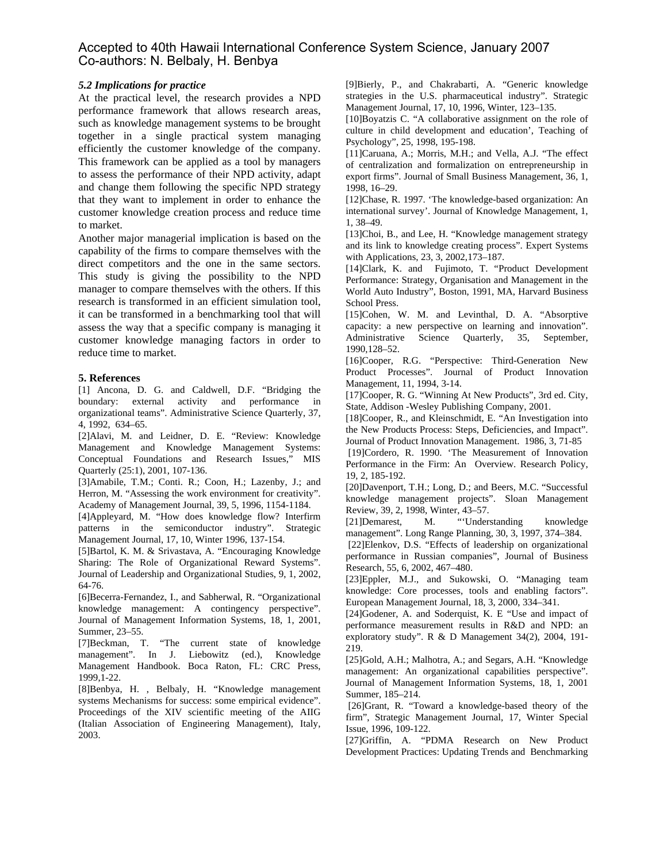#### *5.2 Implications for practice*

At the practical level, the research provides a NPD performance framework that allows research areas, such as knowledge management systems to be brought together in a single practical system managing efficiently the customer knowledge of the company. This framework can be applied as a tool by managers to assess the performance of their NPD activity, adapt and change them following the specific NPD strategy that they want to implement in order to enhance the customer knowledge creation process and reduce time to market.

Another major managerial implication is based on the capability of the firms to compare themselves with the direct competitors and the one in the same sectors. This study is giving the possibility to the NPD manager to compare themselves with the others. If this research is transformed in an efficient simulation tool, it can be transformed in a benchmarking tool that will assess the way that a specific company is managing it customer knowledge managing factors in order to reduce time to market.

#### **5. References**

[1] Ancona, D. G. and Caldwell, D.F. "Bridging the boundary: external activity and performance in organizational teams". Administrative Science Quarterly, 37, 4, 1992, 634–65.

[2]Alavi, M. and Leidner, D. E. "Review: Knowledge Management and Knowledge Management Systems: Conceptual Foundations and Research Issues," MIS Quarterly (25:1), 2001, 107-136.

[3]Amabile, T.M.; Conti. R.; Coon, H.; Lazenby, J.; and Herron, M. "Assessing the work environment for creativity". Academy of Management Journal, 39, 5, 1996, 1154-1184.

[4]Appleyard, M. "How does knowledge flow? Interfirm patterns in the semiconductor industry". Strategic Management Journal, 17, 10, Winter 1996, 137-154.

[5]Bartol, K. M. & Srivastava, A. "Encouraging Knowledge Sharing: The Role of Organizational Reward Systems". Journal of Leadership and Organizational Studies, 9, 1, 2002, 64-76.

[6]Becerra-Fernandez, I., and Sabherwal, R. "Organizational knowledge management: A contingency perspective". Journal of Management Information Systems, 18, 1, 2001, Summer, 23–55.

[7]Beckman, T. "The current state of knowledge management". In J. Liebowitz (ed.), Knowledge Management Handbook. Boca Raton, FL: CRC Press, 1999,1-22.

[8]Benbya, H. , Belbaly, H. "Knowledge management systems Mechanisms for success: some empirical evidence". Proceedings of the XIV scientific meeting of the AIIG (Italian Association of Engineering Management), Italy, 2003.

[9]Bierly, P., and Chakrabarti, A. "Generic knowledge strategies in the U.S. pharmaceutical industry". Strategic Management Journal, 17, 10, 1996, Winter, 123–135.

[10]Boyatzis C. "A collaborative assignment on the role of culture in child development and education', Teaching of Psychology", 25, 1998, 195-198.

[11]Caruana, A.; Morris, M.H.; and Vella, A.J. "The effect of centralization and formalization on entrepreneurship in export firms". Journal of Small Business Management, 36, 1, 1998, 16–29.

[12]Chase, R. 1997. 'The knowledge-based organization: An international survey'. Journal of Knowledge Management, 1, 1, 38–49.

[13]Choi, B., and Lee, H. "Knowledge management strategy and its link to knowledge creating process". Expert Systems with Applications, 23, 3, 2002,173–187.

[14]Clark, K. and Fujimoto, T. "Product Development Performance: Strategy, Organisation and Management in the World Auto Industry", Boston, 1991, MA, Harvard Business School Press.

[15]Cohen, W. M. and Levinthal, D. A. "Absorptive capacity: a new perspective on learning and innovation". Administrative Science Quarterly, 35, September, 1990,128–52.

[16]Cooper, R.G. "Perspective: Third-Generation New Product Processes". Journal of Product Innovation Management, 11, 1994, 3-14.

[17]Cooper, R. G. "Winning At New Products", 3rd ed. City, State, Addison -Wesley Publishing Company, 2001.

[18]Cooper, R., and Kleinschmidt, E. "An Investigation into the New Products Process: Steps, Deficiencies, and Impact". Journal of Product Innovation Management. 1986, 3, 71-85

 [19]Cordero, R. 1990. 'The Measurement of Innovation Performance in the Firm: An Overview. Research Policy, 19, 2, 185-192.

[20]Davenport, T.H.; Long, D.; and Beers, M.C. "Successful knowledge management projects". Sloan Management Review, 39, 2, 1998, Winter, 43–57.

[21]Demarest, M. "'Understanding knowledge management". Long Range Planning, 30, 3, 1997, 374–384.

[22]Elenkov, D.S. "Effects of leadership on organizational performance in Russian companies", Journal of Business Research, 55, 6, 2002, 467–480.

[23]Eppler, M.J., and Sukowski, O. "Managing team knowledge: Core processes, tools and enabling factors". European Management Journal, 18, 3, 2000, 334–341.

[24]Godener, A. and Soderquist, K. E "Use and impact of performance measurement results in R&D and NPD: an exploratory study". R & D Management 34(2), 2004, 191- 219.

[25]Gold, A.H.; Malhotra, A.; and Segars, A.H. "Knowledge management: An organizational capabilities perspective". Journal of Management Information Systems, 18, 1, 2001 Summer, 185–214.

 [26]Grant, R. "Toward a knowledge-based theory of the firm", Strategic Management Journal, 17, Winter Special Issue, 1996, 109-122.

[27]Griffin, A. "PDMA Research on New Product Development Practices: Updating Trends and Benchmarking